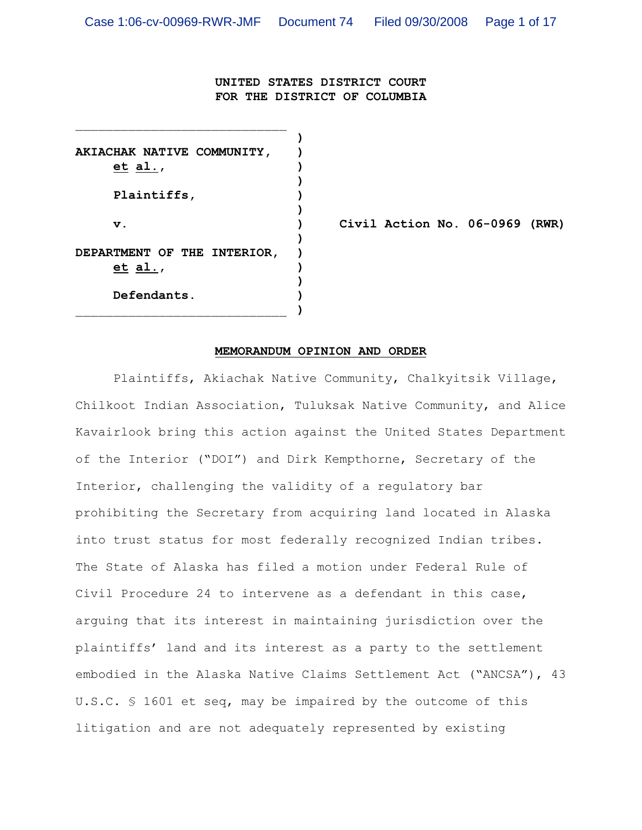**UNITED STATES DISTRICT COURT FOR THE DISTRICT OF COLUMBIA**

**) AKIACHAK NATIVE COMMUNITY, ) et al., ) ) Plaintiffs, ) ) ) DEPARTMENT OF THE INTERIOR, ) et al., ) ) Defendants. )** \_\_\_\_\_\_\_\_\_\_\_\_\_\_\_\_\_\_\_\_\_\_\_\_\_\_\_\_ **)**

 $\mathcal{L}_\text{max}$ 

**v. ) Civil Action No. 06-0969 (RWR)**

## **MEMORANDUM OPINION AND ORDER**

Plaintiffs, Akiachak Native Community, Chalkyitsik Village, Chilkoot Indian Association, Tuluksak Native Community, and Alice Kavairlook bring this action against the United States Department of the Interior ("DOI") and Dirk Kempthorne, Secretary of the Interior, challenging the validity of a regulatory bar prohibiting the Secretary from acquiring land located in Alaska into trust status for most federally recognized Indian tribes. The State of Alaska has filed a motion under Federal Rule of Civil Procedure 24 to intervene as a defendant in this case, arguing that its interest in maintaining jurisdiction over the plaintiffs' land and its interest as a party to the settlement embodied in the Alaska Native Claims Settlement Act ("ANCSA"), 43 U.S.C. § 1601 et seq, may be impaired by the outcome of this litigation and are not adequately represented by existing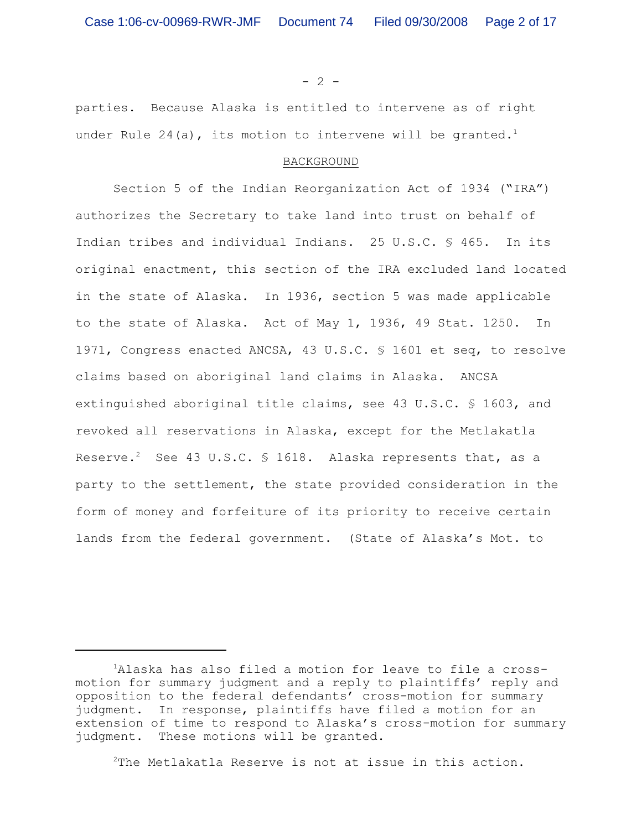$- 2 -$ 

parties. Because Alaska is entitled to intervene as of right under Rule 24(a), its motion to intervene will be granted.<sup>1</sup>

## BACKGROUND

Section 5 of the Indian Reorganization Act of 1934 ("IRA") authorizes the Secretary to take land into trust on behalf of Indian tribes and individual Indians. 25 U.S.C. § 465. In its original enactment, this section of the IRA excluded land located in the state of Alaska. In 1936, section 5 was made applicable to the state of Alaska. Act of May 1, 1936, 49 Stat. 1250. In 1971, Congress enacted ANCSA, 43 U.S.C. § 1601 et seq, to resolve claims based on aboriginal land claims in Alaska. ANCSA extinguished aboriginal title claims, see 43 U.S.C. § 1603, and revoked all reservations in Alaska, except for the Metlakatla Reserve.<sup>2</sup> See 43 U.S.C. § 1618. Alaska represents that, as a party to the settlement, the state provided consideration in the form of money and forfeiture of its priority to receive certain lands from the federal government. (State of Alaska's Mot. to

 $2$ The Metlakatla Reserve is not at issue in this action.

<sup>&</sup>lt;sup>1</sup>Alaska has also filed a motion for leave to file a crossmotion for summary judgment and a reply to plaintiffs' reply and opposition to the federal defendants' cross-motion for summary judgment. In response, plaintiffs have filed a motion for an extension of time to respond to Alaska's cross-motion for summary judgment. These motions will be granted.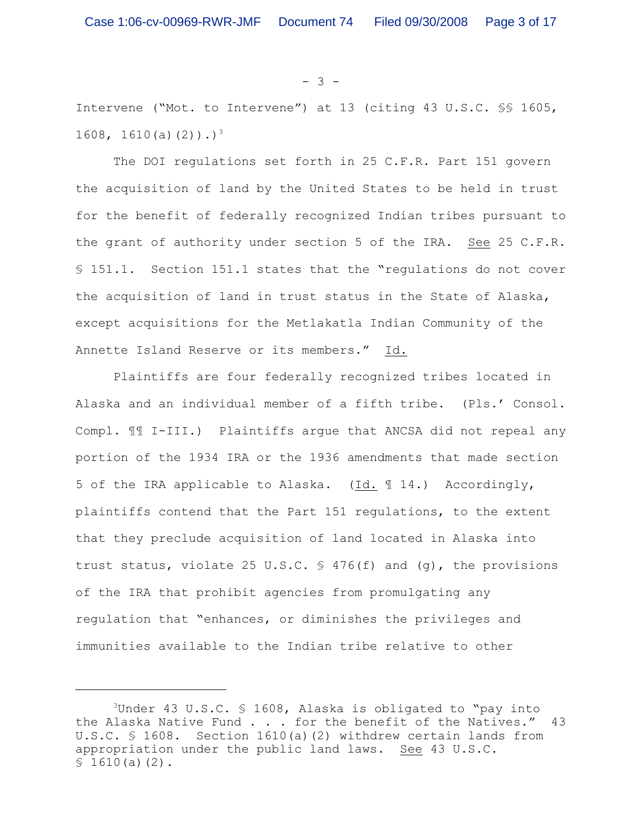- 3 -

Intervene ("Mot. to Intervene") at 13 (citing 43 U.S.C. §§ 1605, 1608, 1610(a)(2)).)<sup>3</sup>

The DOI regulations set forth in 25 C.F.R. Part 151 govern the acquisition of land by the United States to be held in trust for the benefit of federally recognized Indian tribes pursuant to the grant of authority under section 5 of the IRA. See 25 C.F.R. § 151.1. Section 151.1 states that the "regulations do not cover the acquisition of land in trust status in the State of Alaska, except acquisitions for the Metlakatla Indian Community of the Annette Island Reserve or its members." Id.

Plaintiffs are four federally recognized tribes located in Alaska and an individual member of a fifth tribe. (Pls.' Consol. Compl. ¶¶ I-III.) Plaintiffs argue that ANCSA did not repeal any portion of the 1934 IRA or the 1936 amendments that made section 5 of the IRA applicable to Alaska. (Id. ¶ 14.) Accordingly, plaintiffs contend that the Part 151 regulations, to the extent that they preclude acquisition of land located in Alaska into trust status, violate 25 U.S.C. § 476(f) and (g), the provisions of the IRA that prohibit agencies from promulgating any regulation that "enhances, or diminishes the privileges and immunities available to the Indian tribe relative to other

<sup>&</sup>lt;sup>3</sup>Under 43 U.S.C. § 1608, Alaska is obligated to "pay into the Alaska Native Fund . . . for the benefit of the Natives." 43 U.S.C. § 1608. Section 1610(a)(2) withdrew certain lands from appropriation under the public land laws. See 43 U.S.C.  $$1610(a)(2)$ .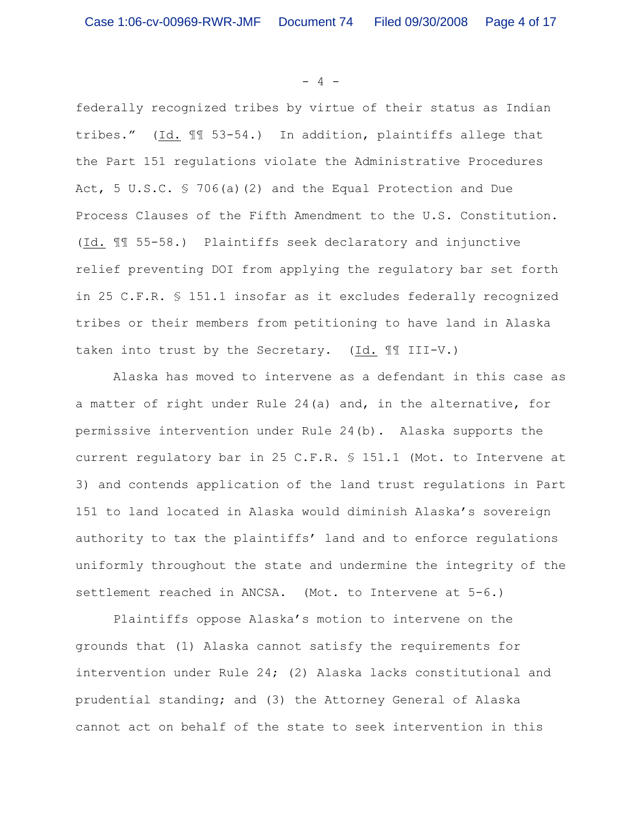$- 4 -$ 

federally recognized tribes by virtue of their status as Indian tribes." (Id. ¶¶ 53-54.) In addition, plaintiffs allege that the Part 151 regulations violate the Administrative Procedures Act, 5 U.S.C. § 706(a)(2) and the Equal Protection and Due Process Clauses of the Fifth Amendment to the U.S. Constitution. (Id. ¶¶ 55-58.) Plaintiffs seek declaratory and injunctive relief preventing DOI from applying the regulatory bar set forth in 25 C.F.R. § 151.1 insofar as it excludes federally recognized tribes or their members from petitioning to have land in Alaska taken into trust by the Secretary. (Id. ¶¶ III-V.)

Alaska has moved to intervene as a defendant in this case as a matter of right under Rule 24(a) and, in the alternative, for permissive intervention under Rule 24(b). Alaska supports the current regulatory bar in 25 C.F.R. § 151.1 (Mot. to Intervene at 3) and contends application of the land trust regulations in Part 151 to land located in Alaska would diminish Alaska's sovereign authority to tax the plaintiffs' land and to enforce regulations uniformly throughout the state and undermine the integrity of the settlement reached in ANCSA. (Mot. to Intervene at 5-6.)

Plaintiffs oppose Alaska's motion to intervene on the grounds that (1) Alaska cannot satisfy the requirements for intervention under Rule 24; (2) Alaska lacks constitutional and prudential standing; and (3) the Attorney General of Alaska cannot act on behalf of the state to seek intervention in this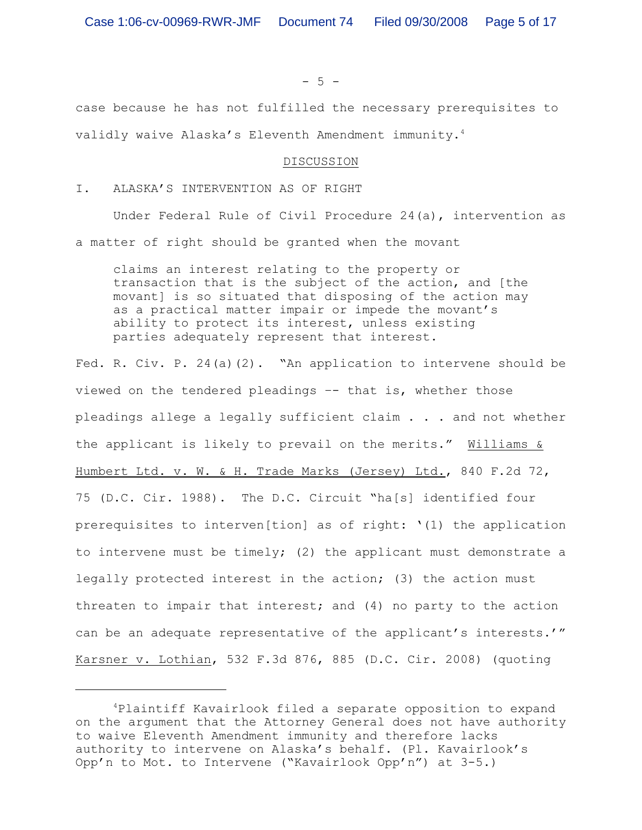$- 5 -$ 

case because he has not fulfilled the necessary prerequisites to validly waive Alaska's Eleventh Amendment immunity. 4

#### DISCUSSION

I. ALASKA'S INTERVENTION AS OF RIGHT

Under Federal Rule of Civil Procedure 24(a), intervention as a matter of right should be granted when the movant

claims an interest relating to the property or transaction that is the subject of the action, and [the movant] is so situated that disposing of the action may as a practical matter impair or impede the movant's ability to protect its interest, unless existing parties adequately represent that interest.

Fed. R. Civ. P. 24(a)(2). "An application to intervene should be viewed on the tendered pleadings –- that is, whether those pleadings allege a legally sufficient claim . . . and not whether the applicant is likely to prevail on the merits." Williams & Humbert Ltd. v. W. & H. Trade Marks (Jersey) Ltd., 840 F.2d 72, 75 (D.C. Cir. 1988). The D.C. Circuit "ha[s] identified four prerequisites to interven[tion] as of right:  $'(1)$  the application to intervene must be timely; (2) the applicant must demonstrate a legally protected interest in the action; (3) the action must threaten to impair that interest; and (4) no party to the action can be an adequate representative of the applicant's interests.'" Karsner v. Lothian, 532 F.3d 876, 885 (D.C. Cir. 2008) (quoting

<sup>&</sup>lt;sup>4</sup>Plaintiff Kavairlook filed a separate opposition to expand on the argument that the Attorney General does not have authority to waive Eleventh Amendment immunity and therefore lacks authority to intervene on Alaska's behalf. (Pl. Kavairlook's Opp'n to Mot. to Intervene ("Kavairlook Opp'n") at 3-5.)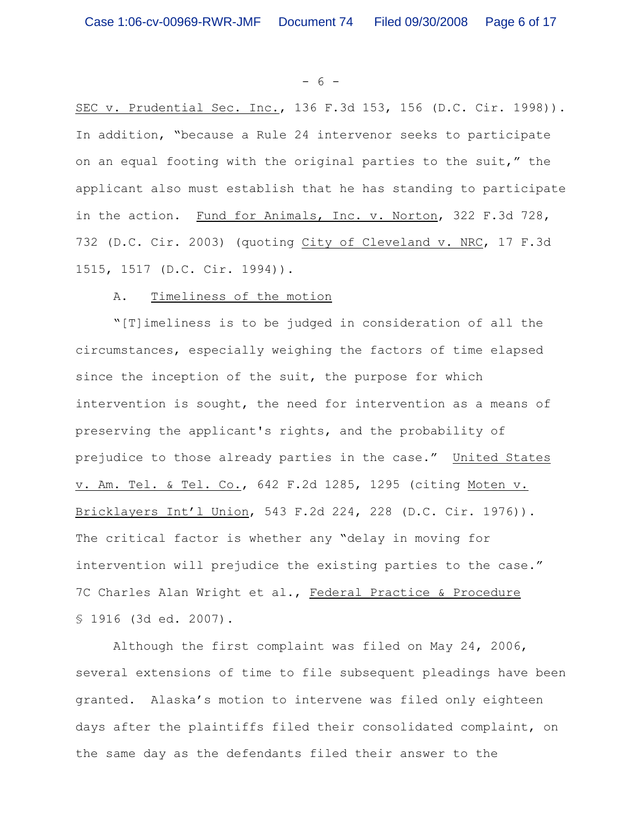- 6 -

SEC v. Prudential Sec. Inc., 136 F.3d 153, 156 (D.C. Cir. 1998)). In addition, "because a Rule 24 intervenor seeks to participate on an equal footing with the original parties to the suit," the applicant also must establish that he has standing to participate in the action. Fund for Animals, Inc. v. Norton, 322 F.3d 728, 732 (D.C. Cir. 2003) (quoting City of Cleveland v. NRC, 17 F.3d 1515, 1517 (D.C. Cir. 1994)).

#### A. Timeliness of the motion

"[T]imeliness is to be judged in consideration of all the circumstances, especially weighing the factors of time elapsed since the inception of the suit, the purpose for which intervention is sought, the need for intervention as a means of preserving the applicant's rights, and the probability of prejudice to those already parties in the case." United States v. Am. Tel. & Tel. Co., 642 F.2d 1285, 1295 (citing Moten v. Bricklayers Int'l Union, 543 F.2d 224, 228 (D.C. Cir. 1976)). The critical factor is whether any "delay in moving for intervention will prejudice the existing parties to the case." 7C Charles Alan Wright et al., Federal Practice & Procedure § 1916 (3d ed. 2007).

Although the first complaint was filed on May 24, 2006, several extensions of time to file subsequent pleadings have been granted. Alaska's motion to intervene was filed only eighteen days after the plaintiffs filed their consolidated complaint, on the same day as the defendants filed their answer to the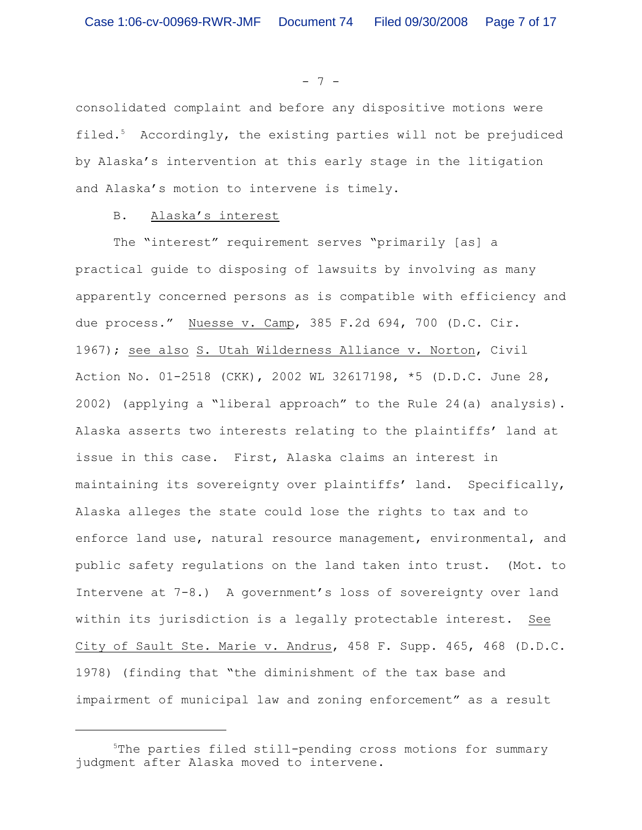- 7 -

consolidated complaint and before any dispositive motions were filed.<sup>5</sup> Accordingly, the existing parties will not be prejudiced by Alaska's intervention at this early stage in the litigation and Alaska's motion to intervene is timely.

## B. Alaska's interest

The "interest" requirement serves "primarily [as] a practical guide to disposing of lawsuits by involving as many apparently concerned persons as is compatible with efficiency and due process." Nuesse v. Camp, 385 F.2d 694, 700 (D.C. Cir. 1967); see also S. Utah Wilderness Alliance v. Norton, Civil Action No. 01-2518 (CKK), 2002 WL 32617198, \*5 (D.D.C. June 28, 2002) (applying a "liberal approach" to the Rule 24(a) analysis). Alaska asserts two interests relating to the plaintiffs' land at issue in this case. First, Alaska claims an interest in maintaining its sovereignty over plaintiffs' land. Specifically, Alaska alleges the state could lose the rights to tax and to enforce land use, natural resource management, environmental, and public safety regulations on the land taken into trust. (Mot. to Intervene at 7-8.) A government's loss of sovereignty over land within its jurisdiction is a legally protectable interest. See City of Sault Ste. Marie v. Andrus, 458 F. Supp. 465, 468 (D.D.C. 1978) (finding that "the diminishment of the tax base and impairment of municipal law and zoning enforcement" as a result

 $5$ The parties filed still-pending cross motions for summary judgment after Alaska moved to intervene.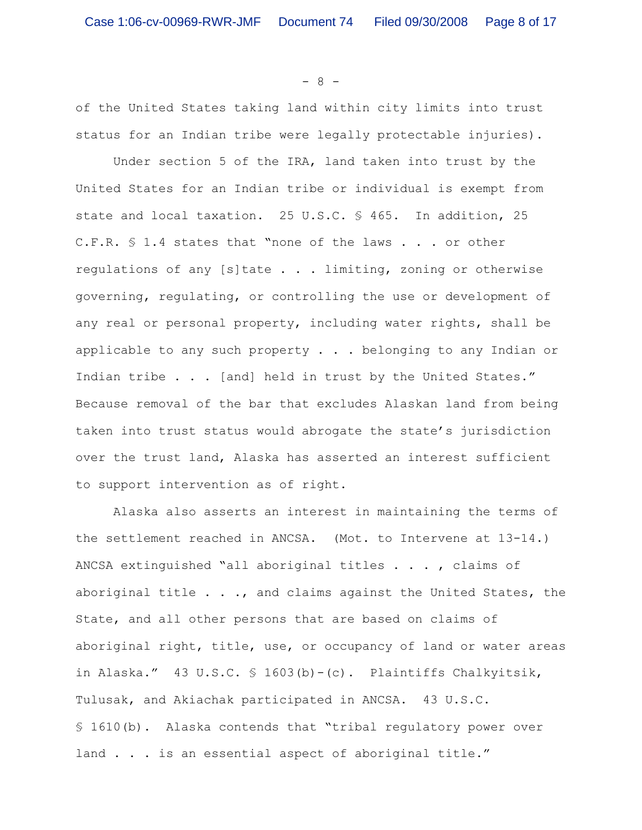- 8 -

of the United States taking land within city limits into trust status for an Indian tribe were legally protectable injuries).

Under section 5 of the IRA, land taken into trust by the United States for an Indian tribe or individual is exempt from state and local taxation. 25 U.S.C. § 465. In addition, 25 C.F.R. § 1.4 states that "none of the laws . . . or other regulations of any [s]tate . . . limiting, zoning or otherwise governing, regulating, or controlling the use or development of any real or personal property, including water rights, shall be applicable to any such property . . . belonging to any Indian or Indian tribe . . . [and] held in trust by the United States." Because removal of the bar that excludes Alaskan land from being taken into trust status would abrogate the state's jurisdiction over the trust land, Alaska has asserted an interest sufficient to support intervention as of right.

Alaska also asserts an interest in maintaining the terms of the settlement reached in ANCSA. (Mot. to Intervene at 13-14.) ANCSA extinguished "all aboriginal titles . . . , claims of aboriginal title . . ., and claims against the United States, the State, and all other persons that are based on claims of aboriginal right, title, use, or occupancy of land or water areas in Alaska." 43 U.S.C. § 1603(b)-(c). Plaintiffs Chalkyitsik, Tulusak, and Akiachak participated in ANCSA. 43 U.S.C. § 1610(b). Alaska contends that "tribal regulatory power over land . . . is an essential aspect of aboriginal title."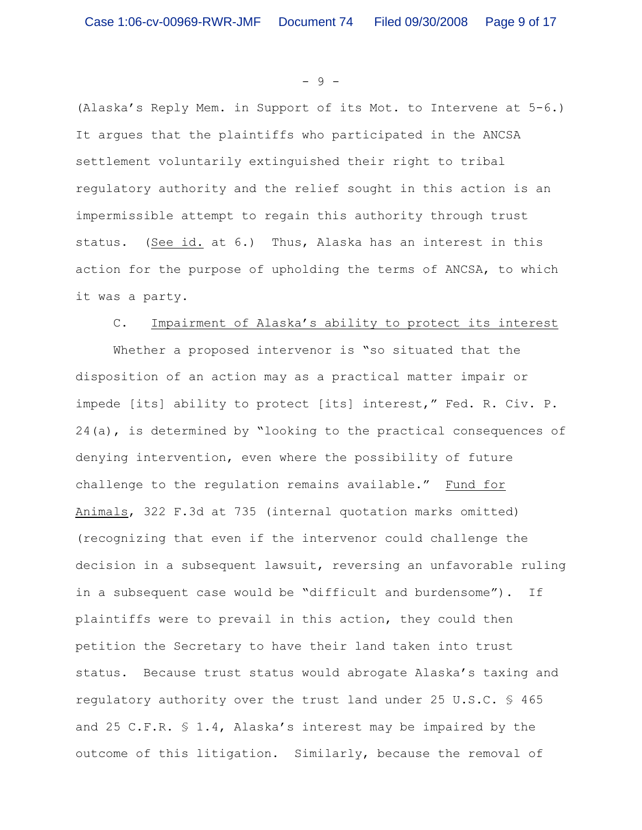- 9 -

(Alaska's Reply Mem. in Support of its Mot. to Intervene at 5-6.) It argues that the plaintiffs who participated in the ANCSA settlement voluntarily extinguished their right to tribal regulatory authority and the relief sought in this action is an impermissible attempt to regain this authority through trust status. (See id. at 6.) Thus, Alaska has an interest in this action for the purpose of upholding the terms of ANCSA, to which it was a party.

#### C. Impairment of Alaska's ability to protect its interest

Whether a proposed intervenor is "so situated that the disposition of an action may as a practical matter impair or impede [its] ability to protect [its] interest," Fed. R. Civ. P. 24(a), is determined by "looking to the practical consequences of denying intervention, even where the possibility of future challenge to the regulation remains available." Fund for Animals, 322 F.3d at 735 (internal quotation marks omitted) (recognizing that even if the intervenor could challenge the decision in a subsequent lawsuit, reversing an unfavorable ruling in a subsequent case would be "difficult and burdensome"). If plaintiffs were to prevail in this action, they could then petition the Secretary to have their land taken into trust status. Because trust status would abrogate Alaska's taxing and regulatory authority over the trust land under 25 U.S.C. § 465 and 25 C.F.R. § 1.4, Alaska's interest may be impaired by the outcome of this litigation. Similarly, because the removal of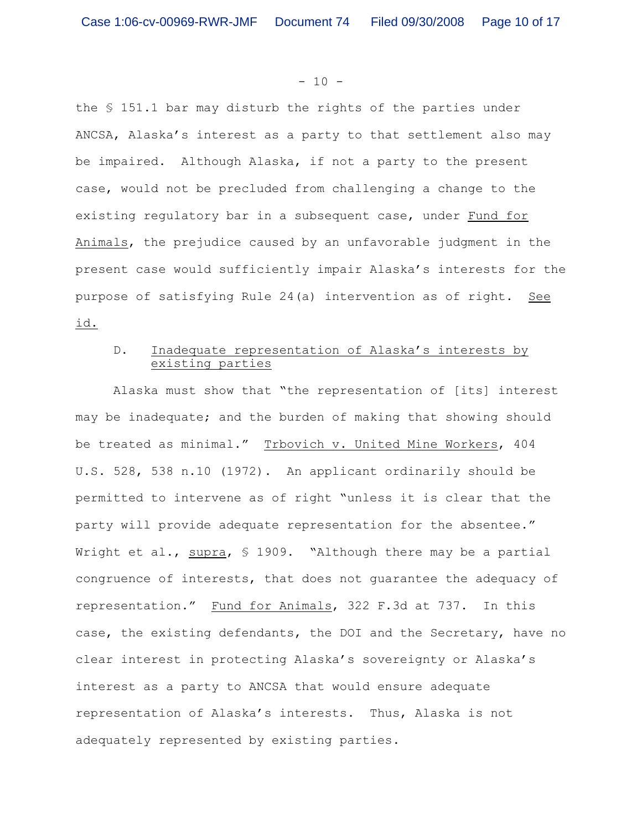#### $- 10 -$

the § 151.1 bar may disturb the rights of the parties under ANCSA, Alaska's interest as a party to that settlement also may be impaired. Although Alaska, if not a party to the present case, would not be precluded from challenging a change to the existing regulatory bar in a subsequent case, under Fund for Animals, the prejudice caused by an unfavorable judgment in the present case would sufficiently impair Alaska's interests for the purpose of satisfying Rule 24(a) intervention as of right. See id.

# D. Inadequate representation of Alaska's interests by existing parties

Alaska must show that "the representation of [its] interest may be inadequate; and the burden of making that showing should be treated as minimal." Trbovich v. United Mine Workers, 404 U.S. 528, 538 n.10 (1972). An applicant ordinarily should be permitted to intervene as of right "unless it is clear that the party will provide adequate representation for the absentee." Wright et al., supra, § 1909. "Although there may be a partial congruence of interests, that does not guarantee the adequacy of representation." Fund for Animals, 322 F.3d at 737. In this case, the existing defendants, the DOI and the Secretary, have no clear interest in protecting Alaska's sovereignty or Alaska's interest as a party to ANCSA that would ensure adequate representation of Alaska's interests. Thus, Alaska is not adequately represented by existing parties.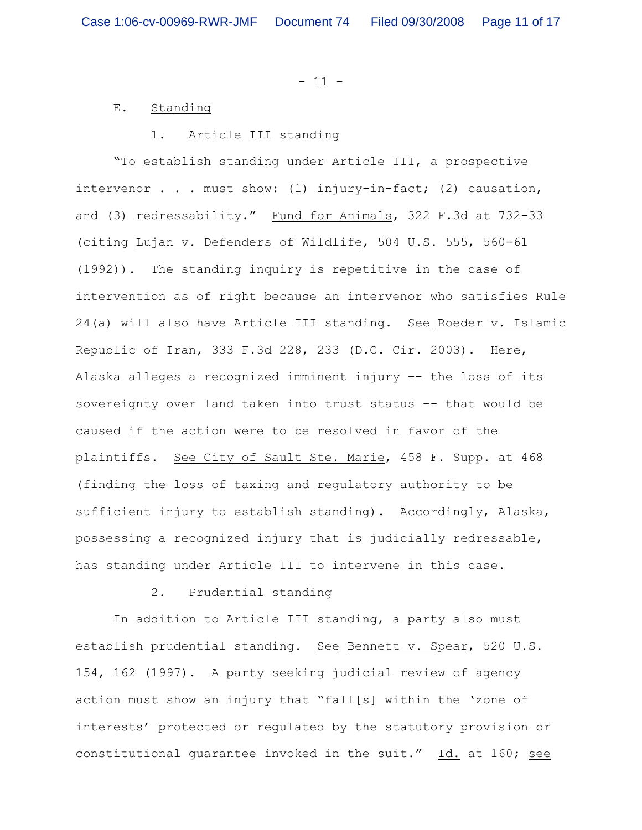$- 11 -$ 

#### E. Standing

#### 1. Article III standing

"To establish standing under Article III, a prospective intervenor . . . must show: (1) injury-in-fact; (2) causation, and (3) redressability." Fund for Animals, 322 F.3d at 732-33 (citing Lujan v. Defenders of Wildlife, 504 U.S. 555, 560-61 (1992)). The standing inquiry is repetitive in the case of intervention as of right because an intervenor who satisfies Rule 24(a) will also have Article III standing. See Roeder v. Islamic Republic of Iran, 333 F.3d 228, 233 (D.C. Cir. 2003). Here, Alaska alleges a recognized imminent injury –- the loss of its sovereignty over land taken into trust status –- that would be caused if the action were to be resolved in favor of the plaintiffs. See City of Sault Ste. Marie, 458 F. Supp. at 468 (finding the loss of taxing and regulatory authority to be sufficient injury to establish standing). Accordingly, Alaska, possessing a recognized injury that is judicially redressable, has standing under Article III to intervene in this case.

## 2. Prudential standing

In addition to Article III standing, a party also must establish prudential standing. See Bennett v. Spear, 520 U.S. 154, 162 (1997). A party seeking judicial review of agency action must show an injury that "fall[s] within the 'zone of interests' protected or regulated by the statutory provision or constitutional guarantee invoked in the suit." Id. at 160; see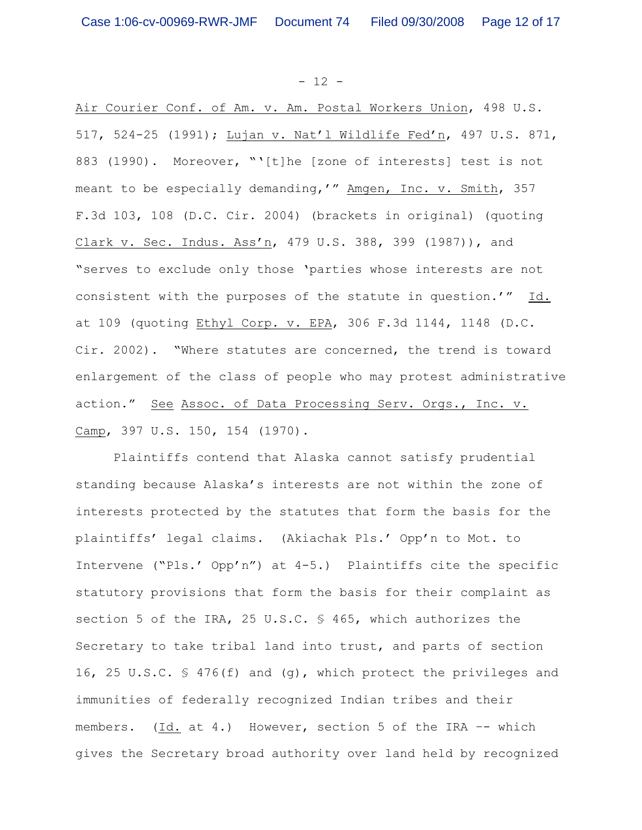$- 12 -$ 

Air Courier Conf. of Am. v. Am. Postal Workers Union, 498 U.S. 517, 524-25 (1991); Lujan v. Nat'l Wildlife Fed'n, 497 U.S. 871, 883 (1990). Moreover, "'[t]he [zone of interests] test is not meant to be especially demanding,'" Amgen, Inc. v. Smith, 357 F.3d 103, 108 (D.C. Cir. 2004) (brackets in original) (quoting Clark v. Sec. Indus. Ass'n, 479 U.S. 388, 399 (1987)), and "serves to exclude only those 'parties whose interests are not consistent with the purposes of the statute in question.'" Id. at 109 (quoting Ethyl Corp. v. EPA, 306 F.3d 1144, 1148 (D.C. Cir. 2002). "Where statutes are concerned, the trend is toward enlargement of the class of people who may protest administrative action." See Assoc. of Data Processing Serv. Orgs., Inc. v. Camp, 397 U.S. 150, 154 (1970).

Plaintiffs contend that Alaska cannot satisfy prudential standing because Alaska's interests are not within the zone of interests protected by the statutes that form the basis for the plaintiffs' legal claims. (Akiachak Pls.' Opp'n to Mot. to Intervene ("Pls.' Opp'n") at 4-5.) Plaintiffs cite the specific statutory provisions that form the basis for their complaint as section 5 of the IRA, 25 U.S.C. § 465, which authorizes the Secretary to take tribal land into trust, and parts of section 16, 25 U.S.C.  $\frac{1}{5}$  476(f) and (g), which protect the privileges and immunities of federally recognized Indian tribes and their members. (Id. at 4.) However, section 5 of the IRA -- which gives the Secretary broad authority over land held by recognized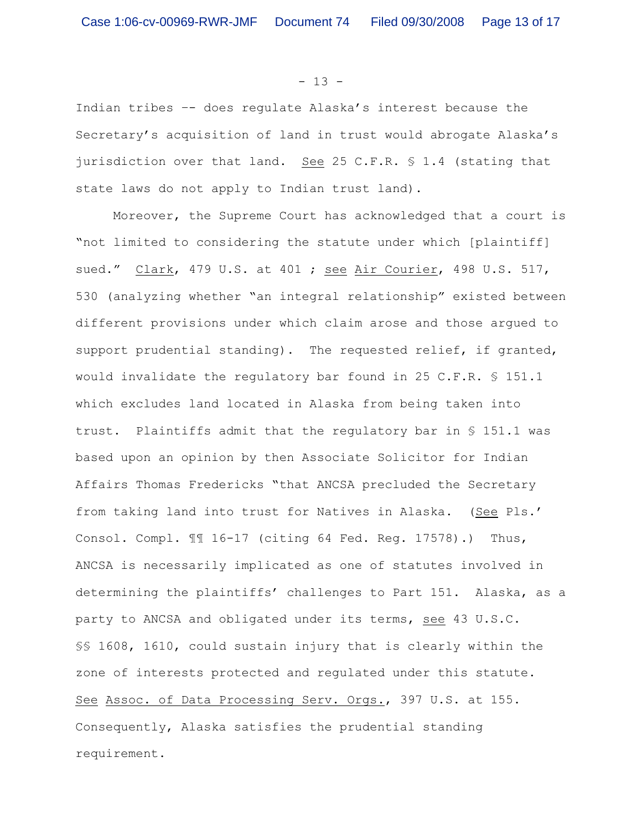#### $- 13 -$

Indian tribes –- does regulate Alaska's interest because the Secretary's acquisition of land in trust would abrogate Alaska's jurisdiction over that land. See 25 C.F.R. § 1.4 (stating that state laws do not apply to Indian trust land).

Moreover, the Supreme Court has acknowledged that a court is "not limited to considering the statute under which [plaintiff] sued." Clark, 479 U.S. at 401 ; see Air Courier, 498 U.S. 517, 530 (analyzing whether "an integral relationship" existed between different provisions under which claim arose and those argued to support prudential standing). The requested relief, if granted, would invalidate the requlatory bar found in 25 C.F.R.  $$ 151.1$ which excludes land located in Alaska from being taken into trust. Plaintiffs admit that the regulatory bar in § 151.1 was based upon an opinion by then Associate Solicitor for Indian Affairs Thomas Fredericks "that ANCSA precluded the Secretary from taking land into trust for Natives in Alaska. (See Pls.' Consol. Compl. ¶¶ 16-17 (citing 64 Fed. Reg. 17578).) Thus, ANCSA is necessarily implicated as one of statutes involved in determining the plaintiffs' challenges to Part 151. Alaska, as a party to ANCSA and obligated under its terms, see 43 U.S.C. §§ 1608, 1610, could sustain injury that is clearly within the zone of interests protected and regulated under this statute. See Assoc. of Data Processing Serv. Orgs., 397 U.S. at 155. Consequently, Alaska satisfies the prudential standing requirement.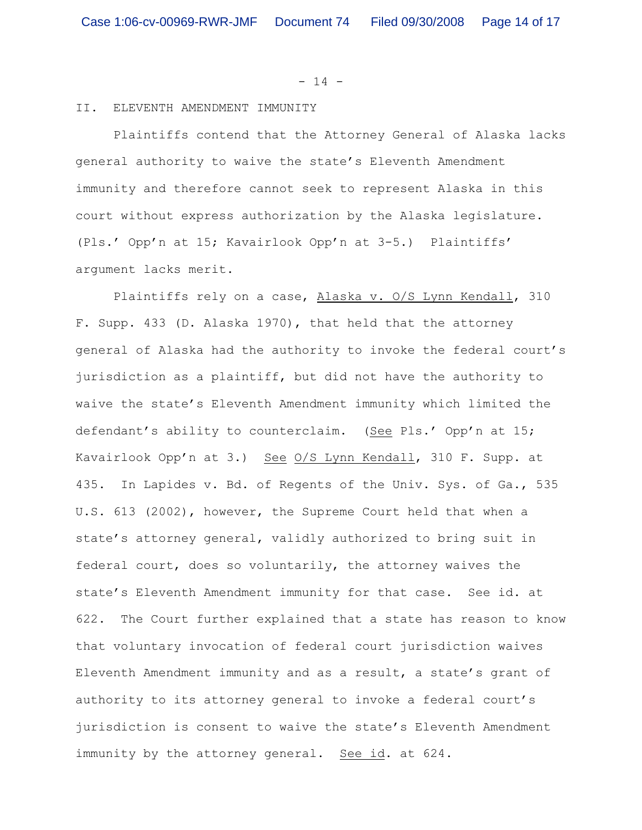$- 14 -$ 

#### II. ELEVENTH AMENDMENT IMMUNITY

Plaintiffs contend that the Attorney General of Alaska lacks general authority to waive the state's Eleventh Amendment immunity and therefore cannot seek to represent Alaska in this court without express authorization by the Alaska legislature. (Pls.' Opp'n at 15; Kavairlook Opp'n at 3-5.) Plaintiffs' argument lacks merit.

Plaintiffs rely on a case, Alaska v. O/S Lynn Kendall, 310 F. Supp. 433 (D. Alaska 1970), that held that the attorney general of Alaska had the authority to invoke the federal court's jurisdiction as a plaintiff, but did not have the authority to waive the state's Eleventh Amendment immunity which limited the defendant's ability to counterclaim. (See Pls.' Opp'n at 15; Kavairlook Opp'n at 3.) See O/S Lynn Kendall, 310 F. Supp. at 435. In Lapides v. Bd. of Regents of the Univ. Sys. of Ga., 535 U.S. 613 (2002), however, the Supreme Court held that when a state's attorney general, validly authorized to bring suit in federal court, does so voluntarily, the attorney waives the state's Eleventh Amendment immunity for that case. See id. at 622. The Court further explained that a state has reason to know that voluntary invocation of federal court jurisdiction waives Eleventh Amendment immunity and as a result, a state's grant of authority to its attorney general to invoke a federal court's jurisdiction is consent to waive the state's Eleventh Amendment immunity by the attorney general. See id. at 624.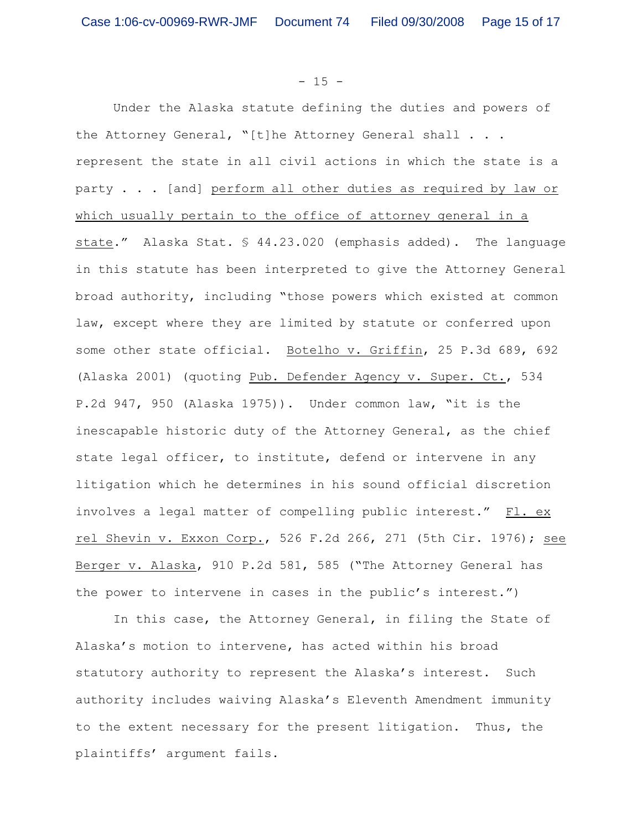$- 15 -$ 

Under the Alaska statute defining the duties and powers of the Attorney General, "[t]he Attorney General shall . . . represent the state in all civil actions in which the state is a party . . . [and] perform all other duties as required by law or which usually pertain to the office of attorney general in a state." Alaska Stat. § 44.23.020 (emphasis added). The language in this statute has been interpreted to give the Attorney General broad authority, including "those powers which existed at common law, except where they are limited by statute or conferred upon some other state official. Botelho v. Griffin, 25 P.3d 689, 692 (Alaska 2001) (quoting Pub. Defender Agency v. Super. Ct., 534 P.2d 947, 950 (Alaska 1975)). Under common law, "it is the inescapable historic duty of the Attorney General, as the chief state legal officer, to institute, defend or intervene in any litigation which he determines in his sound official discretion involves a legal matter of compelling public interest." Fl. ex rel Shevin v. Exxon Corp., 526 F.2d 266, 271 (5th Cir. 1976); see Berger v. Alaska, 910 P.2d 581, 585 ("The Attorney General has the power to intervene in cases in the public's interest.")

In this case, the Attorney General, in filing the State of Alaska's motion to intervene, has acted within his broad statutory authority to represent the Alaska's interest. Such authority includes waiving Alaska's Eleventh Amendment immunity to the extent necessary for the present litigation. Thus, the plaintiffs' argument fails.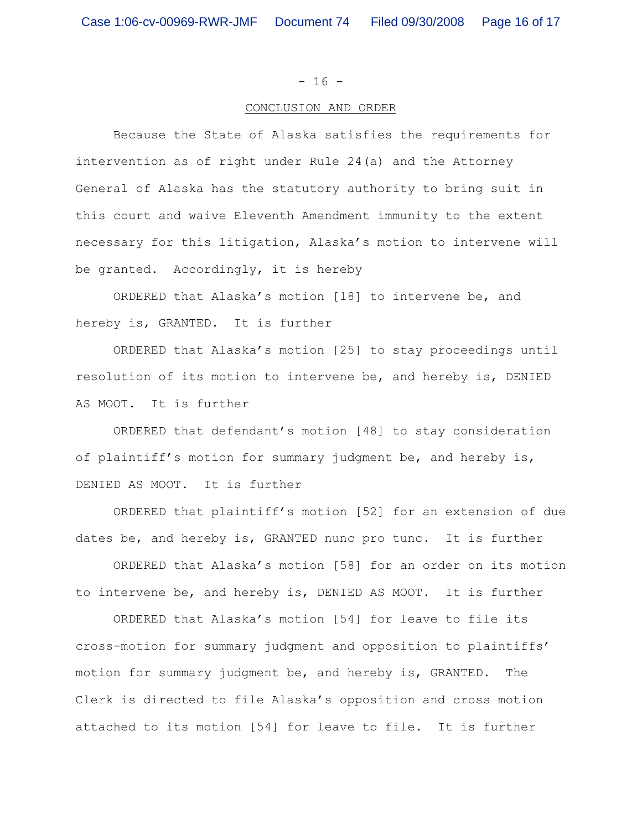$- 16 -$ 

#### CONCLUSION AND ORDER

Because the State of Alaska satisfies the requirements for intervention as of right under Rule 24(a) and the Attorney General of Alaska has the statutory authority to bring suit in this court and waive Eleventh Amendment immunity to the extent necessary for this litigation, Alaska's motion to intervene will be granted. Accordingly, it is hereby

ORDERED that Alaska's motion [18] to intervene be, and hereby is, GRANTED. It is further

ORDERED that Alaska's motion [25] to stay proceedings until resolution of its motion to intervene be, and hereby is, DENIED AS MOOT. It is further

ORDERED that defendant's motion [48] to stay consideration of plaintiff's motion for summary judgment be, and hereby is, DENIED AS MOOT. It is further

ORDERED that plaintiff's motion [52] for an extension of due dates be, and hereby is, GRANTED nunc pro tunc. It is further

ORDERED that Alaska's motion [58] for an order on its motion to intervene be, and hereby is, DENIED AS MOOT. It is further

ORDERED that Alaska's motion [54] for leave to file its cross-motion for summary judgment and opposition to plaintiffs' motion for summary judgment be, and hereby is, GRANTED. The Clerk is directed to file Alaska's opposition and cross motion attached to its motion [54] for leave to file. It is further